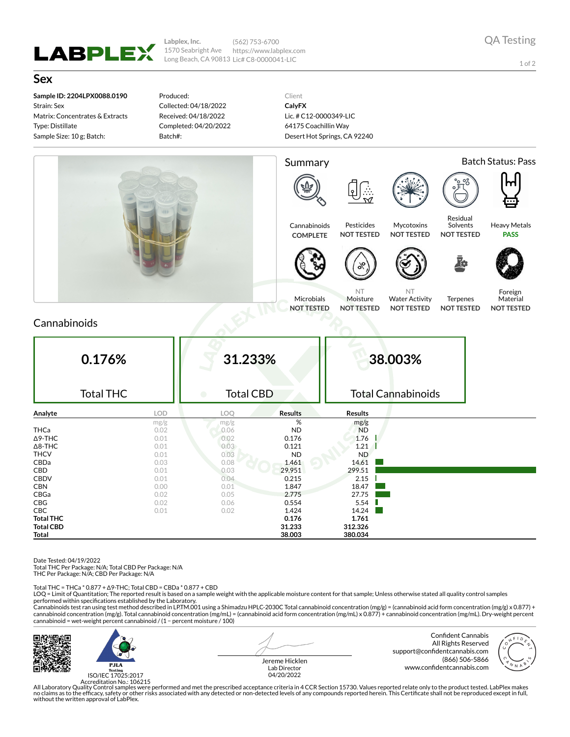

**Labplex, Inc.** 1570 Seabright Ave Long Beach, CA 90813 Lic# C8-0000041-LIC (562) 753-6700 https://www.labplex.com

1 of 2

**Sex**

**Sample ID: 2204LPX0088.0190** Strain: Sex Matrix: Concentrates & Extracts Type: Distillate Sample Size: 10 g; Batch:

Produced: Collected: 04/18/2022 Received: 04/18/2022 Completed: 04/20/2022 Batch#:

Client **CalyFX** Lic. # C12-0000349-LIC 64175 Coachillin Way Desert Hot Springs, CA 92240



## Cannabinoids

| 0.176%<br><b>Total THC</b> |            | 31.233%<br><b>Total CBD</b><br>● |                | 38.003%<br><b>Total Cannabinoids</b> |  |
|----------------------------|------------|----------------------------------|----------------|--------------------------------------|--|
| Analyte                    | <b>LOD</b> | LOQ                              | <b>Results</b> | <b>Results</b>                       |  |
|                            | mg/g       | mg/g                             | %              | mg/g                                 |  |
| <b>THCa</b>                | 0.02       | 0.06                             | <b>ND</b>      | <b>ND</b>                            |  |
| $\Delta$ 9-THC             | 0.01       | 0.02                             | 0.176          | 1.76                                 |  |
| $\Delta$ 8-THC             | 0.01       | 0.03                             | 0.121          | 1.21                                 |  |
| <b>THCV</b>                | 0.01       | 0.03                             | <b>ND</b>      | <b>ND</b>                            |  |
| CBDa                       | 0.03       | 0.08                             | 1.461          | 14.61                                |  |
| CBD                        | 0.01       | 0.03                             | 29.951         | 299.51                               |  |
| <b>CBDV</b>                | 0.01       | 0.04                             | 0.215          | 2.15                                 |  |
| <b>CBN</b>                 | 0.00       | 0.01                             | 1.847          | 18.47                                |  |
| CBGa                       | 0.02       | 0.05                             | 2.775          | 27.75                                |  |
| CBG                        | 0.02       | 0.06                             | 0.554          | 5.54                                 |  |
| <b>CBC</b>                 | 0.01       | 0.02                             | 1.424          | 14.24                                |  |
| <b>Total THC</b>           |            |                                  | 0.176          | 1.761                                |  |
| <b>Total CBD</b>           |            |                                  | 31.233         | 312.326                              |  |
| Total                      |            |                                  | 38.003         | 380.034                              |  |

Date Tested: 04/19/2022

Total THC Per Package: N/A; Total CBD Per Package: N/A

THC Per Package: N/A; CBD Per Package: N/A

Total THC = THCa \* 0.877 + ∆9-THC; Total CBD = CBDa \* 0.877 + CBD

LOQ = Limit of Quantitation; The reported result is based on a sample weight with the applicable moisture content for that sample; Unless otherwise stated all quality control samples performed within specifications established by the Laboratory.

Cannabinoids test ran using test method described in LP.TM.001 using a Shimadzu HPLC-2030C Total cannabinoid concentration (mg/g) = (cannabinoid acid form concentration (mg/g) x 0.877) +<br>cannabinoid concentration (mg/g). T cannabinoid = wet-weight percent cannabinoid / (1 − percent moisture / 100)



ISO/IEC 17025:2017

Jereme Hicklen Lab Director 04/20/2022

Confident Cannabis All Rights Reserved support@confidentcannabis.com (866) 506-5866 www.confidentcannabis.com



Accreditation No.: 106215<br>All Laboratory Quality Control samples were performed and met the prescribed acceptance criteria in 4 CCR Section 15730. Values reported relate only to the product tested. LabPlex makes<br>Ino claims without the written approval of LabPlex.